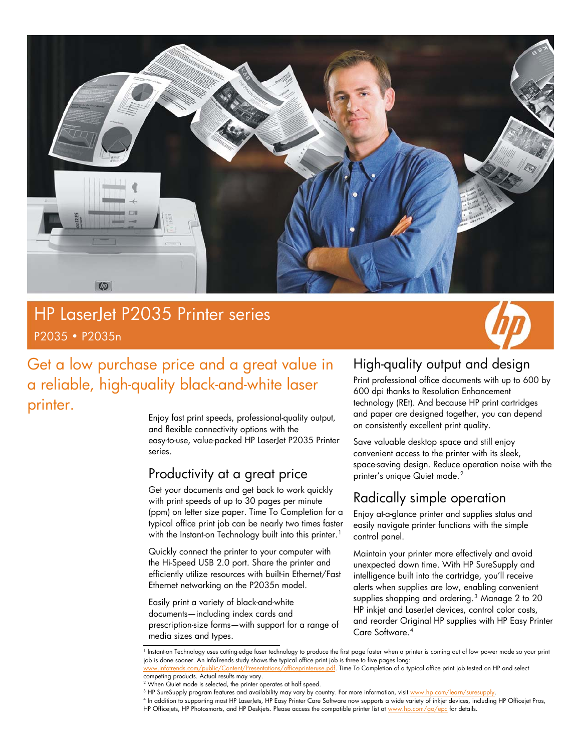

## HP LaserJet P2035 Printer series P2035 • P2035n

 $\overline{\phantom{a}}$ 



## Get a low purchase price and a great value in a reliable, high-quality black-and-white laser printer.

Enjoy fast print speeds, professional-quality output, and flexible connectivity options with the easy-to-use, value-packed HP LaserJet P2035 Printer series.

### Productivity at a great price

Get your documents and get back to work quickly with print speeds of up to 30 pages per minute (ppm) on letter size paper. Time To Completion for a typical office print job can be nearly two times faster with the Instant-on Technology built into this printer.<sup>[1](#page-0-0)</sup>

Quickly connect the printer to your computer with the Hi-Speed USB 2.0 port. Share the printer and efficiently utilize resources with built-in Ethernet/Fast Ethernet networking on the P2035n model.

Easily print a variety of black-and-white documents—including index cards and prescription-size forms—with support for a range of media sizes and types.

### High-quality output and design

Print professional office documents with up to 600 by 600 dpi thanks to Resolution Enhancement technology (REt). And because HP print cartridges and paper are designed together, you can depend on consistently excellent print quality.

Save valuable desktop space and still enjoy convenient access to the printer with its sleek, space-saving design. Reduce operation noise with the printer's unique Quiet mode.<sup>[2](#page-0-1)</sup>

### Radically simple operation

Enjoy at-a-glance printer and supplies status and easily navigate printer functions with the simple control panel.

Maintain your printer more effectively and avoid unexpected down time. With HP SureSupply and intelligence built into the cartridge, you'll receive alerts when supplies are low, enabling convenient supplies shopping and ordering.<sup>[3](#page-0-2)</sup> Manage 2 to 20 HP inkjet and LaserJet devices, control color costs, and reorder Original HP supplies with HP Easy Printer Care Software.[4](#page-0-3)

<sup>1</sup> Instant-on Technology uses cutting-edge fuser technology to produce the first page faster when a printer is coming out of low power mode so your print job is done sooner. An InfoTrends study shows the typical office print job is three to five pages long:

<span id="page-0-0"></span>com/public/Content/Presentations/officeprinteruse.pdf. Time To Completion of a typical office print job tested on HP and select competing products. Actual results may vary.

<sup>2</sup> When Quiet mode is selected, the printer operates at half speed.

<sup>&</sup>lt;sup>3</sup> HP SureSupply program features and availability may vary by country. For more information, visit <u>www.hp.com/learn/suresupply</u>.<br><sup>4</sup> le addition to supporting most HP Laceslate. HP Easy Printer Caro Software now support

<span id="page-0-3"></span><span id="page-0-2"></span><span id="page-0-1"></span>In addition to supporting most HP LaserJets, HP Easy Printer Care Software now supports a wide variety of inkjet devices, including HP Officejet Pros, HP Officejets, HP Photosmarts, and HP Deskjets. Please access the compatible printer list at [www.hp.com/go/epc](http://www.hp.com/go/epc) for details.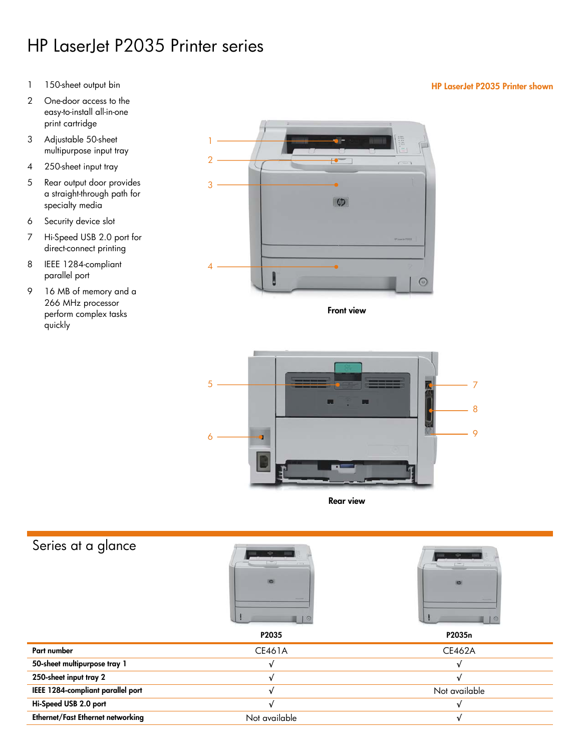# HP LaserJet P2035 Printer series

- 
- 2 One-door access to the easy-to-install all-in-one print cartridge
- 3 Adjustable 50-sheet 1 multipurpose input tray
- 4 250-sheet input tray
- 5 Rear output door provides a straight-through path for specialty media
- 6 Security device slot
- 7 Hi-Speed USB 2.0 port for direct-connect printing
- 8 IEEE 1284-compliant parallel port
- 9 16 MB of memory and a 266 MHz processor perform complex tasks quickly



Front view



Rear view

## Series at a glance





|                                   | P2035         | P2035n        |
|-----------------------------------|---------------|---------------|
| Part number                       | CE461A        | <b>CE462A</b> |
| 50-sheet multipurpose tray 1      |               | v             |
| 250-sheet input tray 2            |               |               |
| IEEE 1284-compliant parallel port |               | Not available |
| Hi-Speed USB 2.0 port             |               | v             |
| Ethernet/Fast Ethernet networking | Not available |               |

#### 1 150-sheet output bin HP LaserJet P2035 Printer shown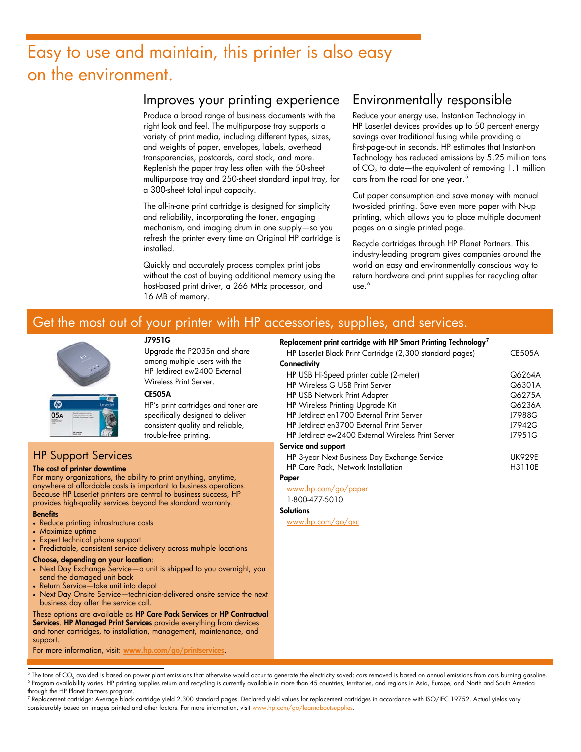# Easy to use and maintain, this printer is also easy on the environment.

#### Improves your printing experience

Produce a broad range of business documents with the right look and feel. The multipurpose tray supports a variety of print media, including different types, sizes, and weights of paper, envelopes, labels, overhead transparencies, postcards, card stock, and more. Replenish the paper tray less often with the 50-sheet multipurpose tray and 250-sheet standard input tray, for a 300-sheet total input capacity.

The all-in-one print cartridge is designed for simplicity and reliability, incorporating the toner, engaging mechanism, and imaging drum in one supply—so you refresh the printer every time an Original HP cartridge is installed.

Quickly and accurately process complex print jobs without the cost of buying additional memory using the host-based print driver, a 266 MHz processor, and 16 MB of memory.

### Environmentally responsible

Reduce your energy use. Instant-on Technology in HP LaserJet devices provides up to 50 percent energy savings over traditional fusing while providing a first-page-out in seconds. HP estimates that Instant-on Technology has reduced emissions by 5.25 million tons of  $CO<sub>2</sub>$  to date—the equivalent of removing 1.1 million cars from the road for one year.<sup>[5](#page-2-0)</sup>

Cut paper consumption and save money with manual two-sided printing. Save even more paper with N-up printing, which allows you to place multiple document pages on a single printed page.

Recycle cartridges through HP Planet Partners. This industry-leading program gives companies around the world an easy and environmentally conscious way to return hardware and print supplies for recycling after  $use.<sup>6</sup>$  $use.<sup>6</sup>$  $use.<sup>6</sup>$ 

### Get the most out of your printer with HP accessories, supplies, and services.





#### J7951G

Upgrade the P2035n and share among multiple users with the HP Jetdirect ew2400 External Wireless Print Server.

#### CE505A

HP's print cartridges and toner are specifically designed to deliver consistent quality and reliable, trouble-free printing.

#### HP Support Services

#### The cost of printer downtime

For many organizations, the ability to print anything, anytime, anywhere at affordable costs is important to business operations. Because HP LaserJet printers are central to business success, HP provides high-quality services beyond the standard warranty.

#### **Benefits**

- Reduce printing infrastructure costs
- Maximize uptime
- Expert technical phone support
- Predictable, consistent service delivery across multiple locations
- Choose, depending on your location:
- Next Day Exchange Service-a unit is shipped to you overnight; you send the damaged unit back
- Return Service—take unit into depot
- Next Day Onsite Service—technician-delivered onsite service the next business day after the service call.

These options are available as HP Care Pack Services or HP Contractual Services. HP Managed Print Services provide everything from devices and toner cartridges, to installation, management, maintenance, and support.

For more information, visit: [www.hp.com/go/printservices](http://www.hp.com/go/printservices).

#### Replacement print cartridge with HP Smart Printing Technology[7](#page-2-2) HP LaserJet Black Print Cartridge (2,300 standard pages) **Connectivity** HP USB Hi-Speed printer cable (2-meter) HP Wireless G USB Print Server HP USB Network Print Adapter HP Wireless Printing Upgrade Kit HP Jetdirect en1700 External Print Server HP Jetdirect en3700 External Print Server HP Jetdirect ew2400 External Wireless Print Server Service and support HP 3-year Next Business Day Exchange Service HP Care Pack, Network Installation Paper CE505A Q6264A Q6301A Q6275A Q6236A J7988G J7942G J7951G UK929E H3110E

[www.hp.com/go/paper](http://www.hp.com/go/paper)

1-800-477-5010

**Solutions** 

[www.hp.com/go/gsc](http://www.hp.com/go/gsc)

<span id="page-2-2"></span><sup>7</sup> Replacement cartridge: Average black cartridge yield 2,300 standard pages. Declared yield values for replacement cartridges in accordance with ISO/IEC 19752. Actual yields vary considerably based on images printed and other factors. For more information, visit [www.hp.com/go/learnaboutsupplies.](http://www.hp.com/go/learnaboutsupplies)

<span id="page-2-1"></span><span id="page-2-0"></span><sup>-&</sup>lt;br>5 The tons of CO<sub>2</sub> avoided is based on power plant emissions that otherwise would occur to generate the electricity saved; cars removed is based on annual emissions from cars burning gasoline.<br>6 Program availability var <sup>6</sup> Program availability varies. HP printing supplies return and recycling is currently available in more than 45 countries, territories, and regions in Asia, Europe, and North and South America through the HP Planet Partners program.